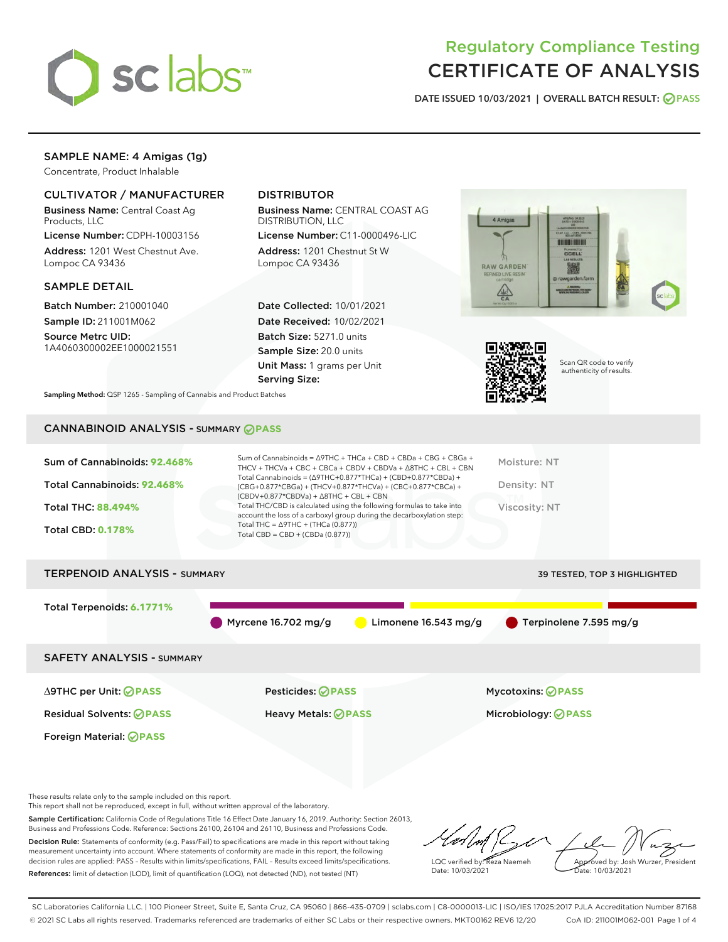

# Regulatory Compliance Testing CERTIFICATE OF ANALYSIS

DATE ISSUED 10/03/2021 | OVERALL BATCH RESULT: @ PASS

## SAMPLE NAME: 4 Amigas (1g)

Concentrate, Product Inhalable

## CULTIVATOR / MANUFACTURER

Business Name: Central Coast Ag Products, LLC

License Number: CDPH-10003156 Address: 1201 West Chestnut Ave. Lompoc CA 93436

#### SAMPLE DETAIL

Batch Number: 210001040 Sample ID: 211001M062

Source Metrc UID: 1A4060300002EE1000021551

## DISTRIBUTOR

Business Name: CENTRAL COAST AG DISTRIBUTION, LLC

License Number: C11-0000496-LIC Address: 1201 Chestnut St W Lompoc CA 93436

Date Collected: 10/01/2021 Date Received: 10/02/2021 Batch Size: 5271.0 units Sample Size: 20.0 units Unit Mass: 1 grams per Unit Serving Size:





Scan QR code to verify authenticity of results.

Sampling Method: QSP 1265 - Sampling of Cannabis and Product Batches

## CANNABINOID ANALYSIS - SUMMARY **PASS**

| Sum of Cannabinoids: 92.468%<br>Total Cannabinoids: 92.468%<br><b>Total THC: 88,494%</b><br><b>Total CBD: 0.178%</b> | Sum of Cannabinoids = $\triangle$ 9THC + THCa + CBD + CBDa + CBG + CBGa +<br>THCV + THCVa + CBC + CBCa + CBDV + CBDVa + $\Delta$ 8THC + CBL + CBN<br>Total Cannabinoids = $(\Delta$ 9THC+0.877*THCa) + (CBD+0.877*CBDa) +<br>(CBG+0.877*CBGa) + (THCV+0.877*THCVa) + (CBC+0.877*CBCa) +<br>$(CBDV+0.877*CBDVa) + \Delta 8THC + CBL + CBN$<br>Total THC/CBD is calculated using the following formulas to take into<br>account the loss of a carboxyl group during the decarboxylation step:<br>Total THC = $\triangle$ 9THC + (THCa (0.877))<br>Total CBD = CBD + (CBDa (0.877)) | Moisture: NT<br>Density: NT<br>Viscosity: NT |
|----------------------------------------------------------------------------------------------------------------------|----------------------------------------------------------------------------------------------------------------------------------------------------------------------------------------------------------------------------------------------------------------------------------------------------------------------------------------------------------------------------------------------------------------------------------------------------------------------------------------------------------------------------------------------------------------------------------|----------------------------------------------|
| <b>TERPENOID ANALYSIS - SUMMARY</b>                                                                                  |                                                                                                                                                                                                                                                                                                                                                                                                                                                                                                                                                                                  | <b>39 TESTED, TOP 3 HIGHLIGHTED</b>          |
| Total Terpenoids: 6.1771%                                                                                            | Myrcene $16.702$ mg/g<br>Limonene $16.543$ mg/g                                                                                                                                                                                                                                                                                                                                                                                                                                                                                                                                  | Terpinolene 7.595 mg/g                       |
| <b>SAFETY ANALYSIS - SUMMARY</b>                                                                                     |                                                                                                                                                                                                                                                                                                                                                                                                                                                                                                                                                                                  |                                              |
| ∆9THC per Unit: ⊘PASS                                                                                                | Pesticides: ⊘PASS                                                                                                                                                                                                                                                                                                                                                                                                                                                                                                                                                                | <b>Mycotoxins: ⊘PASS</b>                     |
| <b>Residual Solvents: ⊘PASS</b>                                                                                      | <b>Heavy Metals: ⊘ PASS</b>                                                                                                                                                                                                                                                                                                                                                                                                                                                                                                                                                      | Microbiology: <b>@PASS</b>                   |
| Foreign Material: ⊘PASS                                                                                              |                                                                                                                                                                                                                                                                                                                                                                                                                                                                                                                                                                                  |                                              |

These results relate only to the sample included on this report.

This report shall not be reproduced, except in full, without written approval of the laboratory.

Sample Certification: California Code of Regulations Title 16 Effect Date January 16, 2019. Authority: Section 26013, Business and Professions Code. Reference: Sections 26100, 26104 and 26110, Business and Professions Code. Decision Rule: Statements of conformity (e.g. Pass/Fail) to specifications are made in this report without taking measurement uncertainty into account. Where statements of conformity are made in this report, the following

decision rules are applied: PASS – Results within limits/specifications, FAIL – Results exceed limits/specifications. References: limit of detection (LOD), limit of quantification (LOQ), not detected (ND), not tested (NT)

 $\overline{\mathscr{C}}$ Approved by: Josh Wurzer, President LQC verified by: Reza Naemeh ate: 10/03/2021 Date: 10/03/2021

SC Laboratories California LLC. | 100 Pioneer Street, Suite E, Santa Cruz, CA 95060 | 866-435-0709 | sclabs.com | C8-0000013-LIC | ISO/IES 17025:2017 PJLA Accreditation Number 87168 © 2021 SC Labs all rights reserved. Trademarks referenced are trademarks of either SC Labs or their respective owners. MKT00162 REV6 12/20 CoA ID: 211001M062-001 Page 1 of 4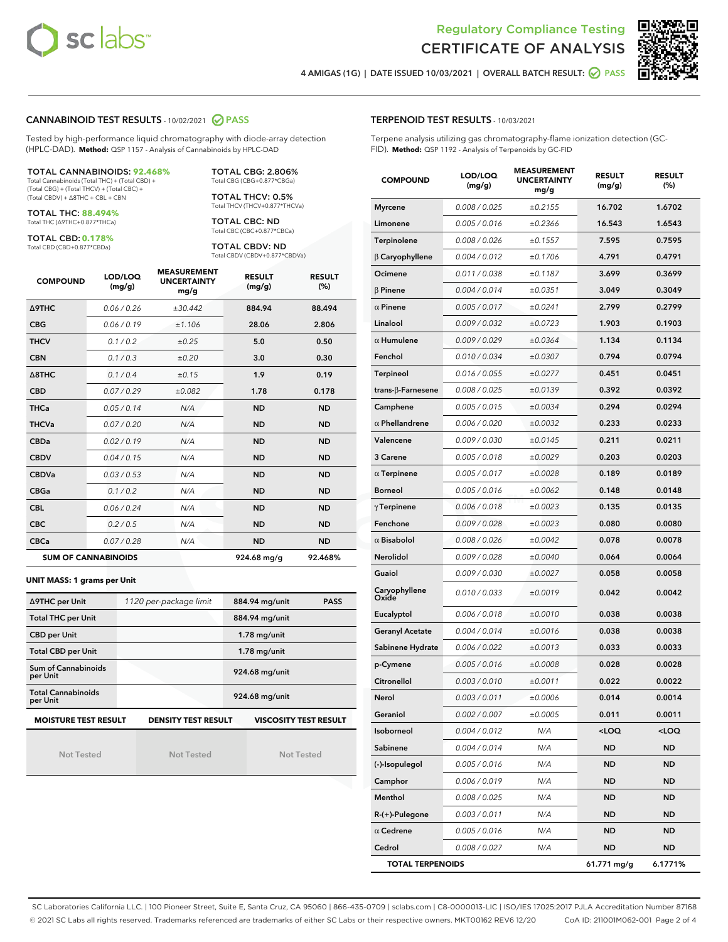



4 AMIGAS (1G) | DATE ISSUED 10/03/2021 | OVERALL BATCH RESULT:  $\bigcirc$  PASS

#### CANNABINOID TEST RESULTS - 10/02/2021 2 PASS

Tested by high-performance liquid chromatography with diode-array detection (HPLC-DAD). **Method:** QSP 1157 - Analysis of Cannabinoids by HPLC-DAD

#### TOTAL CANNABINOIDS: **92.468%**

Total Cannabinoids (Total THC) + (Total CBD) + (Total CBG) + (Total THCV) + (Total CBC) + (Total CBDV) + ∆8THC + CBL + CBN

TOTAL THC: **88.494%** Total THC (∆9THC+0.877\*THCa)

TOTAL CBD: **0.178%**

Total CBD (CBD+0.877\*CBDa)

TOTAL CBG: 2.806% Total CBG (CBG+0.877\*CBGa)

TOTAL THCV: 0.5% Total THCV (THCV+0.877\*THCVa)

TOTAL CBC: ND Total CBC (CBC+0.877\*CBCa)

TOTAL CBDV: ND Total CBDV (CBDV+0.877\*CBDVa)

| <b>COMPOUND</b>            | LOD/LOQ<br>(mg/g) | <b>MEASUREMENT</b><br><b>UNCERTAINTY</b><br>mg/g | <b>RESULT</b><br>(mg/g) | <b>RESULT</b><br>(%) |
|----------------------------|-------------------|--------------------------------------------------|-------------------------|----------------------|
| Δ9THC                      | 0.06 / 0.26       | ±30.442                                          | 884.94                  | 88.494               |
| <b>CBG</b>                 | 0.06/0.19         | ±1.106                                           | 28.06                   | 2.806                |
| <b>THCV</b>                | 0.1/0.2           | ±0.25                                            | 5.0                     | 0.50                 |
| <b>CBN</b>                 | 0.1/0.3           | ±0.20                                            | 3.0                     | 0.30                 |
| $\triangle$ 8THC           | 0.1/0.4           | ±0.15                                            | 1.9                     | 0.19                 |
| <b>CBD</b>                 | 0.07/0.29         | ±0.082                                           | 1.78                    | 0.178                |
| <b>THCa</b>                | 0.05 / 0.14       | N/A                                              | <b>ND</b>               | <b>ND</b>            |
| <b>THCVa</b>               | 0.07/0.20         | N/A                                              | <b>ND</b>               | <b>ND</b>            |
| <b>CBDa</b>                | 0.02/0.19         | N/A                                              | <b>ND</b>               | <b>ND</b>            |
| <b>CBDV</b>                | 0.04 / 0.15       | N/A                                              | <b>ND</b>               | <b>ND</b>            |
| <b>CBDVa</b>               | 0.03/0.53         | N/A                                              | <b>ND</b>               | <b>ND</b>            |
| <b>CBGa</b>                | 0.1 / 0.2         | N/A                                              | <b>ND</b>               | <b>ND</b>            |
| <b>CBL</b>                 | 0.06 / 0.24       | N/A                                              | <b>ND</b>               | <b>ND</b>            |
| <b>CBC</b>                 | 0.2 / 0.5         | N/A                                              | <b>ND</b>               | <b>ND</b>            |
| <b>CBCa</b>                | 0.07/0.28         | N/A                                              | <b>ND</b>               | <b>ND</b>            |
| <b>SUM OF CANNABINOIDS</b> |                   |                                                  | 924.68 mg/g             | 92.468%              |

#### **UNIT MASS: 1 grams per Unit**

| ∆9THC per Unit                                                                            | 1120 per-package limit | 884.94 mg/unit<br><b>PASS</b> |  |  |
|-------------------------------------------------------------------------------------------|------------------------|-------------------------------|--|--|
| <b>Total THC per Unit</b>                                                                 |                        | 884.94 mg/unit                |  |  |
| <b>CBD per Unit</b>                                                                       |                        | $1.78$ mg/unit                |  |  |
| <b>Total CBD per Unit</b>                                                                 |                        | $1.78$ mg/unit                |  |  |
| Sum of Cannabinoids<br>per Unit                                                           |                        | 924.68 mg/unit                |  |  |
| <b>Total Cannabinoids</b><br>per Unit                                                     |                        | 924.68 mg/unit                |  |  |
| <b>MOISTURE TEST RESULT</b><br><b>VISCOSITY TEST RESULT</b><br><b>DENSITY TEST RESULT</b> |                        |                               |  |  |

Not Tested

Not Tested

Not Tested

TERPENOID TEST RESULTS - 10/03/2021

Terpene analysis utilizing gas chromatography-flame ionization detection (GC-FID). **Method:** QSP 1192 - Analysis of Terpenoids by GC-FID

| <b>COMPOUND</b>           | LOD/LOQ<br>(mg/g) | <b>MEASUREMENT</b><br><b>UNCERTAINTY</b><br>mg/g | <b>RESULT</b><br>(mg/g)                         | <b>RESULT</b><br>$(\%)$ |
|---------------------------|-------------------|--------------------------------------------------|-------------------------------------------------|-------------------------|
| <b>Myrcene</b>            | 0.008 / 0.025     | ±0.2155                                          | 16.702                                          | 1.6702                  |
| Limonene                  | 0.005 / 0.016     | ±0.2366                                          | 16.543                                          | 1.6543                  |
| Terpinolene               | 0.008 / 0.026     | ±0.1557                                          | 7.595                                           | 0.7595                  |
| $\beta$ Caryophyllene     | 0.004 / 0.012     | ±0.1706                                          | 4.791                                           | 0.4791                  |
| Ocimene                   | 0.011 / 0.038     | ±0.1187                                          | 3.699                                           | 0.3699                  |
| $\beta$ Pinene            | 0.004 / 0.014     | ±0.0351                                          | 3.049                                           | 0.3049                  |
| $\alpha$ Pinene           | 0.005 / 0.017     | ±0.0241                                          | 2.799                                           | 0.2799                  |
| Linalool                  | 0.009 / 0.032     | ±0.0723                                          | 1.903                                           | 0.1903                  |
| $\alpha$ Humulene         | 0.009 / 0.029     | ±0.0364                                          | 1.134                                           | 0.1134                  |
| Fenchol                   | 0.010 / 0.034     | ±0.0307                                          | 0.794                                           | 0.0794                  |
| Terpineol                 | 0.016 / 0.055     | ±0.0277                                          | 0.451                                           | 0.0451                  |
| trans- $\beta$ -Farnesene | 0.008 / 0.025     | ±0.0139                                          | 0.392                                           | 0.0392                  |
| Camphene                  | 0.005 / 0.015     | ±0.0034                                          | 0.294                                           | 0.0294                  |
| $\alpha$ Phellandrene     | 0.006 / 0.020     | ±0.0032                                          | 0.233                                           | 0.0233                  |
| Valencene                 | 0.009 / 0.030     | ±0.0145                                          | 0.211                                           | 0.0211                  |
| 3 Carene                  | 0.005 / 0.018     | ±0.0029                                          | 0.203                                           | 0.0203                  |
| $\alpha$ Terpinene        | 0.005 / 0.017     | ±0.0028                                          | 0.189                                           | 0.0189                  |
| <b>Borneol</b>            | 0.005 / 0.016     | ±0.0062                                          | 0.148                                           | 0.0148                  |
| $\gamma$ Terpinene        | 0.006 / 0.018     | ±0.0023                                          | 0.135                                           | 0.0135                  |
| Fenchone                  | 0.009 / 0.028     | ±0.0023                                          | 0.080                                           | 0.0080                  |
| $\alpha$ Bisabolol        | 0.008 / 0.026     | ±0.0042                                          | 0.078                                           | 0.0078                  |
| Nerolidol                 | 0.009 / 0.028     | ±0.0040                                          | 0.064                                           | 0.0064                  |
| Guaiol                    | 0.009 / 0.030     | ±0.0027                                          | 0.058                                           | 0.0058                  |
| Caryophyllene<br>Oxide    | 0.010 / 0.033     | ±0.0019                                          | 0.042                                           | 0.0042                  |
| Eucalyptol                | 0.006 / 0.018     | ±0.0010                                          | 0.038                                           | 0.0038                  |
| Geranyl Acetate           | 0.004 / 0.014     | ±0.0016                                          | 0.038                                           | 0.0038                  |
| Sabinene Hydrate          | 0.006 / 0.022     | ±0.0013                                          | 0.033                                           | 0.0033                  |
| p-Cymene                  | 0.005 / 0.016     | ±0.0008                                          | 0.028                                           | 0.0028                  |
| Citronellol               | 0.003 / 0.010     | ±0.0011                                          | 0.022                                           | 0.0022                  |
| Nerol                     | 0.003 / 0.011     | ±0.0006                                          | 0.014                                           | 0.0014                  |
| Geraniol                  | 0.002 / 0.007     | ±0.0005                                          | 0.011                                           | 0.0011                  |
| Isoborneol                | 0.004 / 0.012     | N/A                                              | <loq< th=""><th><loq< th=""></loq<></th></loq<> | <loq< th=""></loq<>     |
| Sabinene                  | 0.004 / 0.014     | N/A                                              | ND                                              | ND                      |
| (-)-Isopulegol            | 0.005 / 0.016     | N/A                                              | ND                                              | ND                      |
| Camphor                   | 0.006 / 0.019     | N/A                                              | ND                                              | ND                      |
| Menthol                   | 0.008 / 0.025     | N/A                                              | ND                                              | ND                      |
| R-(+)-Pulegone            | 0.003 / 0.011     | N/A                                              | ND                                              | ND                      |
| $\alpha$ Cedrene          | 0.005 / 0.016     | N/A                                              | ND                                              | ND                      |
| Cedrol                    | 0.008 / 0.027     | N/A                                              | ND                                              | ND                      |
| <b>TOTAL TERPENOIDS</b>   |                   |                                                  | 61.771 mg/g                                     | 6.1771%                 |

SC Laboratories California LLC. | 100 Pioneer Street, Suite E, Santa Cruz, CA 95060 | 866-435-0709 | sclabs.com | C8-0000013-LIC | ISO/IES 17025:2017 PJLA Accreditation Number 87168 © 2021 SC Labs all rights reserved. Trademarks referenced are trademarks of either SC Labs or their respective owners. MKT00162 REV6 12/20 CoA ID: 211001M062-001 Page 2 of 4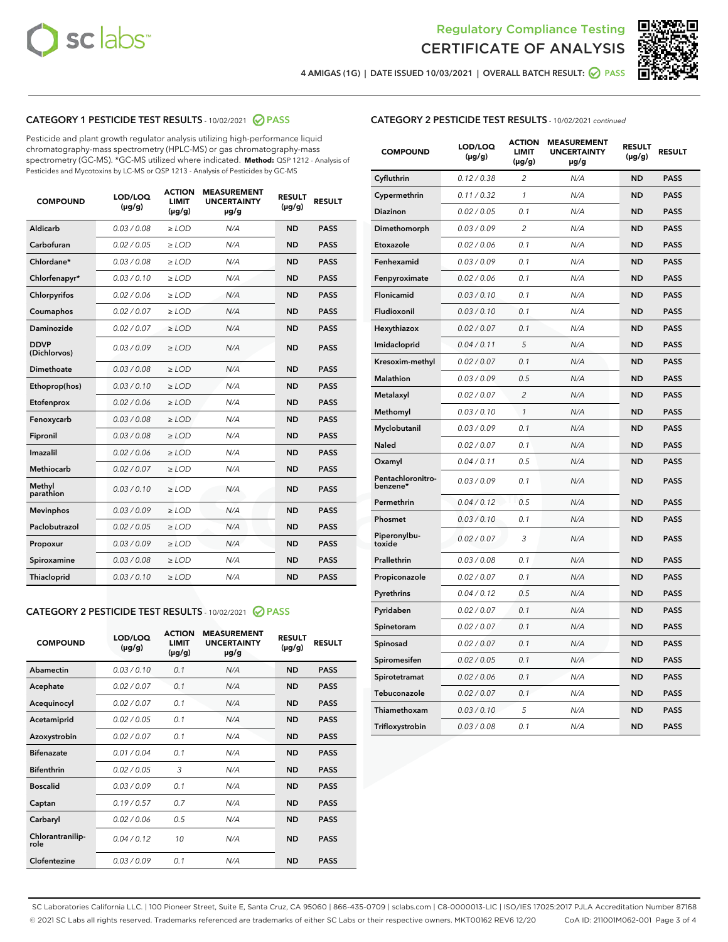



4 AMIGAS (1G) | DATE ISSUED 10/03/2021 | OVERALL BATCH RESULT: 2 PASS

## CATEGORY 1 PESTICIDE TEST RESULTS - 10/02/2021 2 PASS

Pesticide and plant growth regulator analysis utilizing high-performance liquid chromatography-mass spectrometry (HPLC-MS) or gas chromatography-mass spectrometry (GC-MS). \*GC-MS utilized where indicated. **Method:** QSP 1212 - Analysis of Pesticides and Mycotoxins by LC-MS or QSP 1213 - Analysis of Pesticides by GC-MS

| <b>COMPOUND</b>             | LOD/LOQ<br>$(\mu g/g)$ | <b>ACTION</b><br><b>LIMIT</b><br>$(\mu g/g)$ | <b>MEASUREMENT</b><br><b>UNCERTAINTY</b><br>$\mu$ g/g | <b>RESULT</b><br>$(\mu g/g)$ | <b>RESULT</b> |
|-----------------------------|------------------------|----------------------------------------------|-------------------------------------------------------|------------------------------|---------------|
| Aldicarb                    | 0.03/0.08              | $>$ LOD                                      | N/A                                                   | <b>ND</b>                    | <b>PASS</b>   |
| Carbofuran                  | 0.02 / 0.05            | $\ge$ LOD                                    | N/A                                                   | <b>ND</b>                    | <b>PASS</b>   |
| Chlordane*                  | 0.03/0.08              | $>$ LOD                                      | N/A                                                   | <b>ND</b>                    | <b>PASS</b>   |
| Chlorfenapyr*               | 0.03/0.10              | $\ge$ LOD                                    | N/A                                                   | <b>ND</b>                    | <b>PASS</b>   |
| Chlorpyrifos                | 0.02 / 0.06            | $\ge$ LOD                                    | N/A                                                   | <b>ND</b>                    | <b>PASS</b>   |
| Coumaphos                   | 0.02 / 0.07            | $\ge$ LOD                                    | N/A                                                   | <b>ND</b>                    | <b>PASS</b>   |
| Daminozide                  | 0.02 / 0.07            | $\ge$ LOD                                    | N/A                                                   | <b>ND</b>                    | <b>PASS</b>   |
| <b>DDVP</b><br>(Dichlorvos) | 0.03/0.09              | $\ge$ LOD                                    | N/A                                                   | <b>ND</b>                    | <b>PASS</b>   |
| <b>Dimethoate</b>           | 0.03/0.08              | $\ge$ LOD                                    | N/A                                                   | <b>ND</b>                    | <b>PASS</b>   |
| Ethoprop(hos)               | 0.03/0.10              | $\ge$ LOD                                    | N/A                                                   | <b>ND</b>                    | <b>PASS</b>   |
| Etofenprox                  | 0.02 / 0.06            | $\ge$ LOD                                    | N/A                                                   | <b>ND</b>                    | <b>PASS</b>   |
| Fenoxycarb                  | 0.03/0.08              | $\ge$ LOD                                    | N/A                                                   | <b>ND</b>                    | <b>PASS</b>   |
| Fipronil                    | 0.03/0.08              | $>$ LOD                                      | N/A                                                   | <b>ND</b>                    | <b>PASS</b>   |
| Imazalil                    | 0.02 / 0.06            | $>$ LOD                                      | N/A                                                   | <b>ND</b>                    | <b>PASS</b>   |
| Methiocarb                  | 0.02 / 0.07            | $\ge$ LOD                                    | N/A                                                   | <b>ND</b>                    | <b>PASS</b>   |
| Methyl<br>parathion         | 0.03/0.10              | $\ge$ LOD                                    | N/A                                                   | <b>ND</b>                    | <b>PASS</b>   |
| <b>Mevinphos</b>            | 0.03/0.09              | $\ge$ LOD                                    | N/A                                                   | <b>ND</b>                    | <b>PASS</b>   |
| Paclobutrazol               | 0.02 / 0.05            | $>$ LOD                                      | N/A                                                   | <b>ND</b>                    | <b>PASS</b>   |
| Propoxur                    | 0.03/0.09              | $\ge$ LOD                                    | N/A                                                   | <b>ND</b>                    | <b>PASS</b>   |
| Spiroxamine                 | 0.03/0.08              | $\ge$ LOD                                    | N/A                                                   | <b>ND</b>                    | <b>PASS</b>   |
| Thiacloprid                 | 0.03/0.10              | $\ge$ LOD                                    | N/A                                                   | <b>ND</b>                    | <b>PASS</b>   |
|                             |                        |                                              |                                                       |                              |               |

#### CATEGORY 2 PESTICIDE TEST RESULTS - 10/02/2021 @ PASS

| <b>COMPOUND</b>          | LOD/LOQ<br>$(\mu g/g)$ | <b>ACTION</b><br>LIMIT<br>$(\mu g/g)$ | <b>MEASUREMENT</b><br><b>UNCERTAINTY</b><br>$\mu$ g/g | <b>RESULT</b><br>$(\mu g/g)$ | <b>RESULT</b> |  |
|--------------------------|------------------------|---------------------------------------|-------------------------------------------------------|------------------------------|---------------|--|
| Abamectin                | 0.03/0.10              | 0.1                                   | N/A                                                   | <b>ND</b>                    | <b>PASS</b>   |  |
| Acephate                 | 0.02/0.07              | 0.1                                   | N/A                                                   | <b>ND</b>                    | <b>PASS</b>   |  |
| Acequinocyl              | 0.02/0.07              | 0.1                                   | N/A                                                   | <b>ND</b>                    | <b>PASS</b>   |  |
| Acetamiprid              | 0.02/0.05              | 0.1                                   | N/A                                                   | <b>ND</b>                    | <b>PASS</b>   |  |
| Azoxystrobin             | 0.02/0.07              | 0.1                                   | N/A                                                   | <b>ND</b>                    | <b>PASS</b>   |  |
| <b>Bifenazate</b>        | 0.01/0.04              | 0.1                                   | N/A                                                   | <b>ND</b>                    | <b>PASS</b>   |  |
| <b>Bifenthrin</b>        | 0.02 / 0.05            | 3                                     | N/A                                                   | <b>ND</b>                    | <b>PASS</b>   |  |
| <b>Boscalid</b>          | 0.03/0.09              | 0.1                                   | N/A                                                   | <b>ND</b>                    | <b>PASS</b>   |  |
| Captan                   | 0.19/0.57              | 07                                    | N/A                                                   | <b>ND</b>                    | <b>PASS</b>   |  |
| Carbaryl                 | 0.02/0.06              | 0.5                                   | N/A                                                   | <b>ND</b>                    | <b>PASS</b>   |  |
| Chlorantranilip-<br>role | 0.04/0.12              | 10                                    | N/A                                                   | <b>ND</b>                    | <b>PASS</b>   |  |
| Clofentezine             | 0.03/0.09              | 0.1                                   | N/A                                                   | <b>ND</b>                    | <b>PASS</b>   |  |

| <b>CATEGORY 2 PESTICIDE TEST RESULTS</b> - 10/02/2021 continued |  |
|-----------------------------------------------------------------|--|
|                                                                 |  |

| <b>COMPOUND</b>               | LOD/LOQ<br>(µg/g) | <b>ACTION</b><br><b>LIMIT</b><br>$(\mu g/g)$ | <b>MEASUREMENT</b><br><b>UNCERTAINTY</b><br>µg/g | <b>RESULT</b><br>(µg/g) | <b>RESULT</b> |
|-------------------------------|-------------------|----------------------------------------------|--------------------------------------------------|-------------------------|---------------|
| Cyfluthrin                    | 0.12 / 0.38       | $\overline{c}$                               | N/A                                              | ND                      | <b>PASS</b>   |
| Cypermethrin                  | 0.11 / 0.32       | 1                                            | N/A                                              | ND                      | <b>PASS</b>   |
| <b>Diazinon</b>               | 0.02 / 0.05       | 0.1                                          | N/A                                              | ND                      | <b>PASS</b>   |
| Dimethomorph                  | 0.03 / 0.09       | $\overline{c}$                               | N/A                                              | <b>ND</b>               | <b>PASS</b>   |
| Etoxazole                     | 0.02 / 0.06       | 0.1                                          | N/A                                              | ND                      | <b>PASS</b>   |
| Fenhexamid                    | 0.03 / 0.09       | 0.1                                          | N/A                                              | ND                      | <b>PASS</b>   |
| Fenpyroximate                 | 0.02 / 0.06       | 0.1                                          | N/A                                              | <b>ND</b>               | <b>PASS</b>   |
| Flonicamid                    | 0.03 / 0.10       | 0.1                                          | N/A                                              | <b>ND</b>               | <b>PASS</b>   |
| Fludioxonil                   | 0.03 / 0.10       | 0.1                                          | N/A                                              | ND                      | <b>PASS</b>   |
| Hexythiazox                   | 0.02 / 0.07       | 0.1                                          | N/A                                              | <b>ND</b>               | <b>PASS</b>   |
| Imidacloprid                  | 0.04 / 0.11       | 5                                            | N/A                                              | <b>ND</b>               | <b>PASS</b>   |
| Kresoxim-methyl               | 0.02 / 0.07       | 0.1                                          | N/A                                              | ND                      | <b>PASS</b>   |
| Malathion                     | 0.03 / 0.09       | 0.5                                          | N/A                                              | <b>ND</b>               | <b>PASS</b>   |
| Metalaxyl                     | 0.02 / 0.07       | $\overline{c}$                               | N/A                                              | <b>ND</b>               | <b>PASS</b>   |
| Methomyl                      | 0.03 / 0.10       | $\mathcal{I}$                                | N/A                                              | ND                      | <b>PASS</b>   |
| Myclobutanil                  | 0.03 / 0.09       | 0.1                                          | N/A                                              | <b>ND</b>               | <b>PASS</b>   |
| <b>Naled</b>                  | 0.02 / 0.07       | 0.1                                          | N/A                                              | ND                      | <b>PASS</b>   |
| Oxamyl                        | 0.04 / 0.11       | 0.5                                          | N/A                                              | <b>ND</b>               | <b>PASS</b>   |
| Pentachloronitro-<br>benzene* | 0.03/0.09         | 0.1                                          | N/A                                              | ND                      | <b>PASS</b>   |
| Permethrin                    | 0.04 / 0.12       | 0.5                                          | N/A                                              | ND                      | <b>PASS</b>   |
| Phosmet                       | 0.03 / 0.10       | 0.1                                          | N/A                                              | <b>ND</b>               | <b>PASS</b>   |
| Piperonylbu-<br>toxide        | 0.02 / 0.07       | 3                                            | N/A                                              | <b>ND</b>               | <b>PASS</b>   |
| Prallethrin                   | 0.03 / 0.08       | 0.1                                          | N/A                                              | ND                      | <b>PASS</b>   |
| Propiconazole                 | 0.02 / 0.07       | 0.1                                          | N/A                                              | ND                      | <b>PASS</b>   |
| Pyrethrins                    | 0.04 / 0.12       | 0.5                                          | N/A                                              | ND                      | <b>PASS</b>   |
| Pyridaben                     | 0.02 / 0.07       | 0.1                                          | N/A                                              | <b>ND</b>               | <b>PASS</b>   |
| Spinetoram                    | 0.02 / 0.07       | 0.1                                          | N/A                                              | ND                      | <b>PASS</b>   |
| Spinosad                      | 0.02 / 0.07       | 0.1                                          | N/A                                              | <b>ND</b>               | <b>PASS</b>   |
| Spiromesifen                  | 0.02 / 0.05       | 0.1                                          | N/A                                              | ND                      | <b>PASS</b>   |
| Spirotetramat                 | 0.02 / 0.06       | 0.1                                          | N/A                                              | ND                      | <b>PASS</b>   |
| Tebuconazole                  | 0.02 / 0.07       | 0.1                                          | N/A                                              | ND                      | <b>PASS</b>   |
| Thiamethoxam                  | 0.03 / 0.10       | 5                                            | N/A                                              | ND                      | <b>PASS</b>   |
| Trifloxystrobin               | 0.03 / 0.08       | 0.1                                          | N/A                                              | ND                      | <b>PASS</b>   |

SC Laboratories California LLC. | 100 Pioneer Street, Suite E, Santa Cruz, CA 95060 | 866-435-0709 | sclabs.com | C8-0000013-LIC | ISO/IES 17025:2017 PJLA Accreditation Number 87168 © 2021 SC Labs all rights reserved. Trademarks referenced are trademarks of either SC Labs or their respective owners. MKT00162 REV6 12/20 CoA ID: 211001M062-001 Page 3 of 4